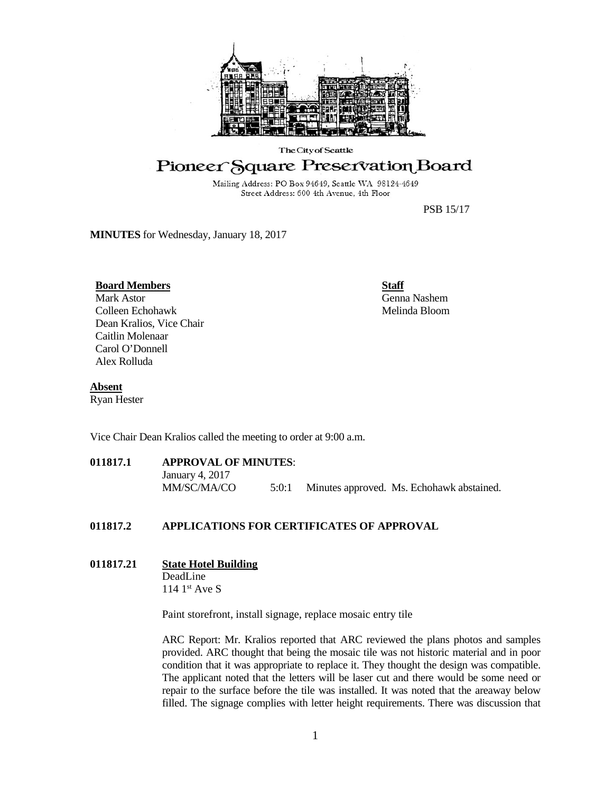

#### The City of Seattle

# Pioneer Square Preservation Board

Mailing Address: PO Box 94649, Seattle WA 98124-4649 Street Address: 600 4th Avenue, 4th Floor

PSB 15/17

**MINUTES** for Wednesday, January 18, 2017

#### **Board Members**

Mark Astor Colleen Echohawk Dean Kralios, Vice Chair Caitlin Molenaar Carol O'Donnell Alex Rolluda

**Staff** Genna Nashem Melinda Bloom

#### **Absent**

Ryan Hester

Vice Chair Dean Kralios called the meeting to order at 9:00 a.m.

**011817.1 APPROVAL OF MINUTES**: January 4, 2017 MM/SC/MA/CO 5:0:1 Minutes approved. Ms. Echohawk abstained.

#### **011817.2 APPLICATIONS FOR CERTIFICATES OF APPROVAL**

# **011817.21 State Hotel Building**

DeadLine 114 1<sup>st</sup> Ave S

Paint storefront, install signage, replace mosaic entry tile

ARC Report: Mr. Kralios reported that ARC reviewed the plans photos and samples provided. ARC thought that being the mosaic tile was not historic material and in poor condition that it was appropriate to replace it. They thought the design was compatible. The applicant noted that the letters will be laser cut and there would be some need or repair to the surface before the tile was installed. It was noted that the areaway below filled. The signage complies with letter height requirements. There was discussion that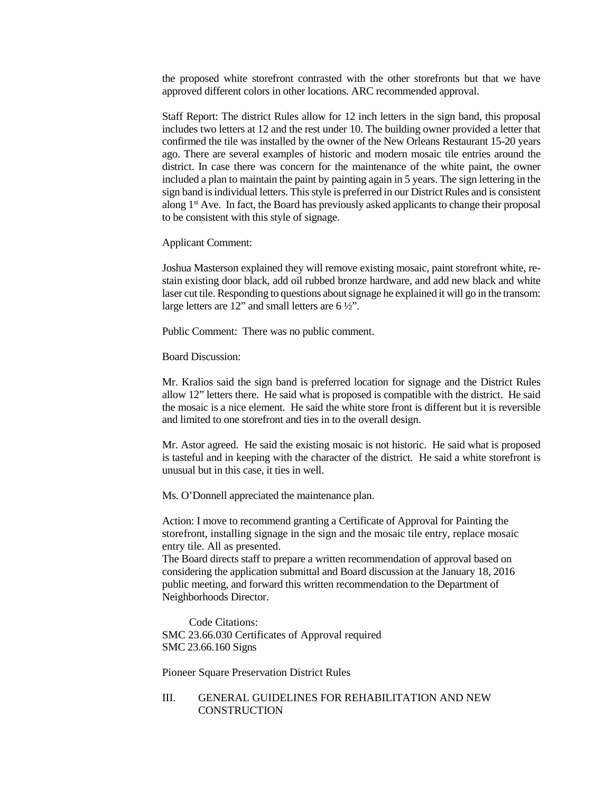the proposed white storefront contrasted with the other storefronts but that we have approved different colors in other locations. ARC recommended approval.

Staff Report: The district Rules allow for 12 inch letters in the sign band, this proposal includes two letters at 12 and the rest under 10. The building owner provided a letter that confirmed the tile was installed by the owner of the New Orleans Restaurant 15-20 years ago. There are several examples of historic and modern mosaic tile entries around the district. In case there was concern for the maintenance of the white paint, the owner included a plan to maintain the paint by painting again in 5 years. The sign lettering in the sign band is individual letters. This style is preferred in our District Rules and is consistent along 1<sup>st</sup> Ave. In fact, the Board has previously asked applicants to change their proposal to be consistent with this style of signage.

Applicant Comment:

Joshua Masterson explained they will remove existing mosaic, paint storefront white, restain existing door black, add oil rubbed bronze hardware, and add new black and white laser cut tile. Responding to questions about signage he explained it will go in the transom: large letters are 12" and small letters are 6 ½".

Public Comment: There was no public comment.

Board Discussion:

Mr. Kralios said the sign band is preferred location for signage and the District Rules allow 12" letters there. He said what is proposed is compatible with the district. He said the mosaic is a nice element. He said the white store front is different but it is reversible and limited to one storefront and ties in to the overall design.

Mr. Astor agreed. He said the existing mosaic is not historic. He said what is proposed is tasteful and in keeping with the character of the district. He said a white storefront is unusual but in this case, it ties in well.

Ms. O'Donnell appreciated the maintenance plan.

Action: I move to recommend granting a Certificate of Approval for Painting the storefront, installing signage in the sign and the mosaic tile entry, replace mosaic entry tile. All as presented.

The Board directs staff to prepare a written recommendation of approval based on considering the application submittal and Board discussion at the January 18, 2016 public meeting, and forward this written recommendation to the Department of Neighborhoods Director.

Code Citations: SMC 23.66.030 Certificates of Approval required SMC 23.66.160 Signs

Pioneer Square Preservation District Rules

## III. GENERAL GUIDELINES FOR REHABILITATION AND NEW **CONSTRUCTION**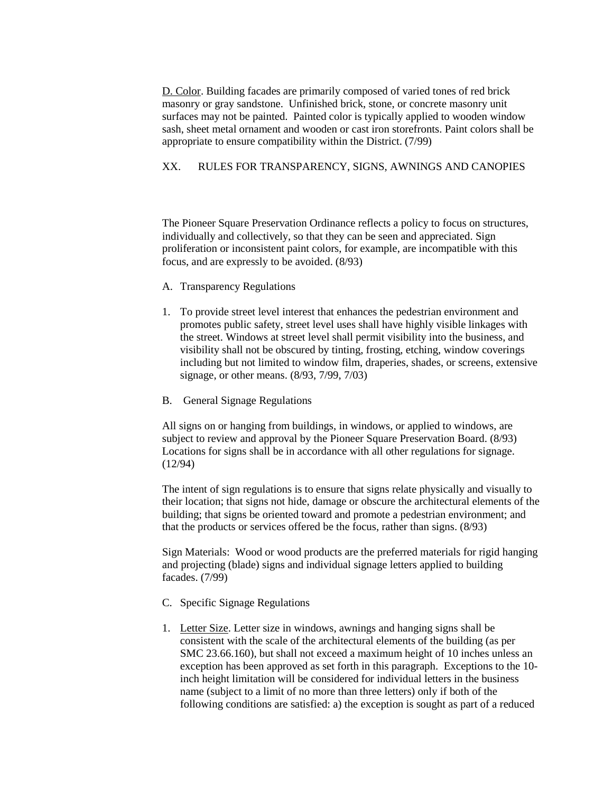D. Color. Building facades are primarily composed of varied tones of red brick masonry or gray sandstone. Unfinished brick, stone, or concrete masonry unit surfaces may not be painted. Painted color is typically applied to wooden window sash, sheet metal ornament and wooden or cast iron storefronts. Paint colors shall be appropriate to ensure compatibility within the District. (7/99)

## XX. RULES FOR TRANSPARENCY, SIGNS, AWNINGS AND CANOPIES

The Pioneer Square Preservation Ordinance reflects a policy to focus on structures, individually and collectively, so that they can be seen and appreciated. Sign proliferation or inconsistent paint colors, for example, are incompatible with this focus, and are expressly to be avoided. (8/93)

- A. Transparency Regulations
- 1. To provide street level interest that enhances the pedestrian environment and promotes public safety, street level uses shall have highly visible linkages with the street. Windows at street level shall permit visibility into the business, and visibility shall not be obscured by tinting, frosting, etching, window coverings including but not limited to window film, draperies, shades, or screens, extensive signage, or other means. (8/93, 7/99, 7/03)
- B. General Signage Regulations

All signs on or hanging from buildings, in windows, or applied to windows, are subject to review and approval by the Pioneer Square Preservation Board. (8/93) Locations for signs shall be in accordance with all other regulations for signage. (12/94)

The intent of sign regulations is to ensure that signs relate physically and visually to their location; that signs not hide, damage or obscure the architectural elements of the building; that signs be oriented toward and promote a pedestrian environment; and that the products or services offered be the focus, rather than signs. (8/93)

Sign Materials: Wood or wood products are the preferred materials for rigid hanging and projecting (blade) signs and individual signage letters applied to building facades. (7/99)

- C. Specific Signage Regulations
- 1. Letter Size. Letter size in windows, awnings and hanging signs shall be consistent with the scale of the architectural elements of the building (as per SMC 23.66.160), but shall not exceed a maximum height of 10 inches unless an exception has been approved as set forth in this paragraph. Exceptions to the 10 inch height limitation will be considered for individual letters in the business name (subject to a limit of no more than three letters) only if both of the following conditions are satisfied: a) the exception is sought as part of a reduced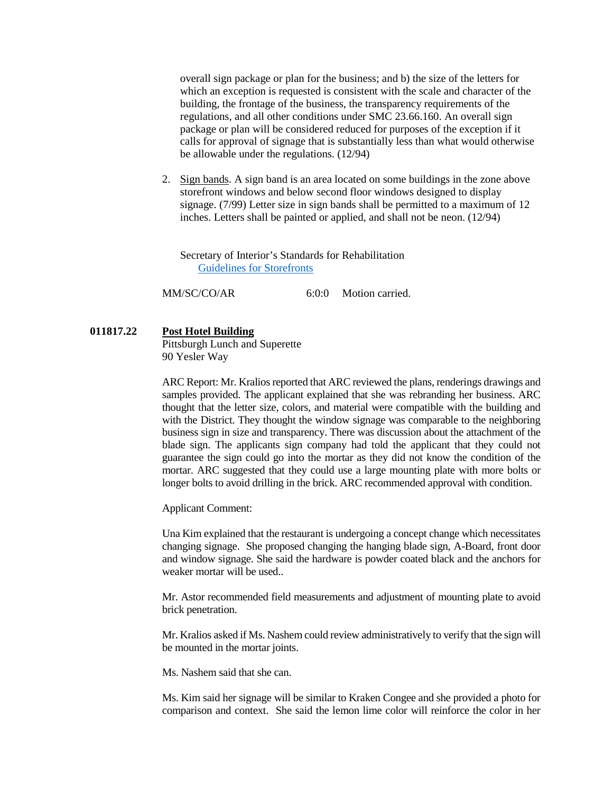overall sign package or plan for the business; and b) the size of the letters for which an exception is requested is consistent with the scale and character of the building, the frontage of the business, the transparency requirements of the regulations, and all other conditions under SMC 23.66.160. An overall sign package or plan will be considered reduced for purposes of the exception if it calls for approval of signage that is substantially less than what would otherwise be allowable under the regulations. (12/94)

2. Sign bands. A sign band is an area located on some buildings in the zone above storefront windows and below second floor windows designed to display signage. (7/99) Letter size in sign bands shall be permitted to a maximum of 12 inches. Letters shall be painted or applied, and shall not be neon. (12/94)

Secretary of Interior's Standards for Rehabilitation [Guidelines for Storefronts](https://www.nps.gov/tps/standards/rehabilitation/rehab/store01.htm)

MM/SC/CO/AR 6:0:0 Motion carried.

**011817.22 Post Hotel Building**

Pittsburgh Lunch and Superette 90 Yesler Way

ARC Report: Mr. Kralios reported that ARC reviewed the plans, renderings drawings and samples provided. The applicant explained that she was rebranding her business. ARC thought that the letter size, colors, and material were compatible with the building and with the District. They thought the window signage was comparable to the neighboring business sign in size and transparency. There was discussion about the attachment of the blade sign. The applicants sign company had told the applicant that they could not guarantee the sign could go into the mortar as they did not know the condition of the mortar. ARC suggested that they could use a large mounting plate with more bolts or longer bolts to avoid drilling in the brick. ARC recommended approval with condition.

Applicant Comment:

Una Kim explained that the restaurant is undergoing a concept change which necessitates changing signage. She proposed changing the hanging blade sign, A-Board, front door and window signage. She said the hardware is powder coated black and the anchors for weaker mortar will be used..

Mr. Astor recommended field measurements and adjustment of mounting plate to avoid brick penetration.

Mr. Kralios asked if Ms. Nashem could review administratively to verify that the sign will be mounted in the mortar joints.

Ms. Nashem said that she can.

Ms. Kim said her signage will be similar to Kraken Congee and she provided a photo for comparison and context. She said the lemon lime color will reinforce the color in her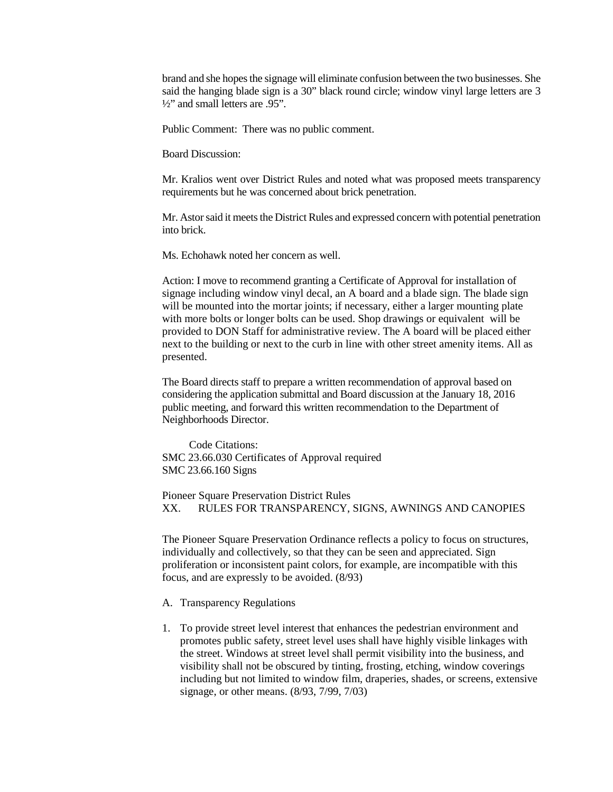brand and she hopes the signage will eliminate confusion between the two businesses. She said the hanging blade sign is a 30" black round circle; window vinyl large letters are 3 <sup>1</sup>/<sub>2</sub>" and small letters are .95".

Public Comment: There was no public comment.

Board Discussion:

Mr. Kralios went over District Rules and noted what was proposed meets transparency requirements but he was concerned about brick penetration.

Mr. Astor said it meets the District Rules and expressed concern with potential penetration into brick.

Ms. Echohawk noted her concern as well.

Action: I move to recommend granting a Certificate of Approval for installation of signage including window vinyl decal, an A board and a blade sign. The blade sign will be mounted into the mortar joints; if necessary, either a larger mounting plate with more bolts or longer bolts can be used. Shop drawings or equivalent will be provided to DON Staff for administrative review. The A board will be placed either next to the building or next to the curb in line with other street amenity items. All as presented.

The Board directs staff to prepare a written recommendation of approval based on considering the application submittal and Board discussion at the January 18, 2016 public meeting, and forward this written recommendation to the Department of Neighborhoods Director.

Code Citations: SMC 23.66.030 Certificates of Approval required SMC 23.66.160 Signs

Pioneer Square Preservation District Rules XX. RULES FOR TRANSPARENCY, SIGNS, AWNINGS AND CANOPIES

The Pioneer Square Preservation Ordinance reflects a policy to focus on structures, individually and collectively, so that they can be seen and appreciated. Sign proliferation or inconsistent paint colors, for example, are incompatible with this focus, and are expressly to be avoided. (8/93)

A. Transparency Regulations

1. To provide street level interest that enhances the pedestrian environment and promotes public safety, street level uses shall have highly visible linkages with the street. Windows at street level shall permit visibility into the business, and visibility shall not be obscured by tinting, frosting, etching, window coverings including but not limited to window film, draperies, shades, or screens, extensive signage, or other means. (8/93, 7/99, 7/03)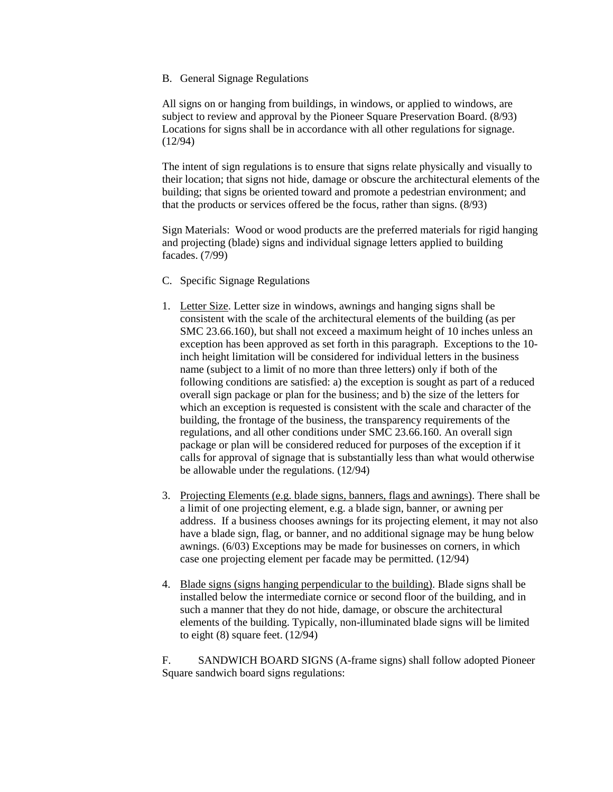B. General Signage Regulations

All signs on or hanging from buildings, in windows, or applied to windows, are subject to review and approval by the Pioneer Square Preservation Board. (8/93) Locations for signs shall be in accordance with all other regulations for signage. (12/94)

The intent of sign regulations is to ensure that signs relate physically and visually to their location; that signs not hide, damage or obscure the architectural elements of the building; that signs be oriented toward and promote a pedestrian environment; and that the products or services offered be the focus, rather than signs. (8/93)

Sign Materials: Wood or wood products are the preferred materials for rigid hanging and projecting (blade) signs and individual signage letters applied to building facades. (7/99)

- C. Specific Signage Regulations
- 1. Letter Size. Letter size in windows, awnings and hanging signs shall be consistent with the scale of the architectural elements of the building (as per SMC 23.66.160), but shall not exceed a maximum height of 10 inches unless an exception has been approved as set forth in this paragraph. Exceptions to the 10 inch height limitation will be considered for individual letters in the business name (subject to a limit of no more than three letters) only if both of the following conditions are satisfied: a) the exception is sought as part of a reduced overall sign package or plan for the business; and b) the size of the letters for which an exception is requested is consistent with the scale and character of the building, the frontage of the business, the transparency requirements of the regulations, and all other conditions under SMC 23.66.160. An overall sign package or plan will be considered reduced for purposes of the exception if it calls for approval of signage that is substantially less than what would otherwise be allowable under the regulations. (12/94)
- 3. Projecting Elements (e.g. blade signs, banners, flags and awnings). There shall be a limit of one projecting element, e.g. a blade sign, banner, or awning per address. If a business chooses awnings for its projecting element, it may not also have a blade sign, flag, or banner, and no additional signage may be hung below awnings. (6/03) Exceptions may be made for businesses on corners, in which case one projecting element per facade may be permitted. (12/94)
- 4. Blade signs (signs hanging perpendicular to the building). Blade signs shall be installed below the intermediate cornice or second floor of the building, and in such a manner that they do not hide, damage, or obscure the architectural elements of the building. Typically, non-illuminated blade signs will be limited to eight (8) square feet. (12/94)

F. SANDWICH BOARD SIGNS (A-frame signs) shall follow adopted Pioneer Square sandwich board signs regulations: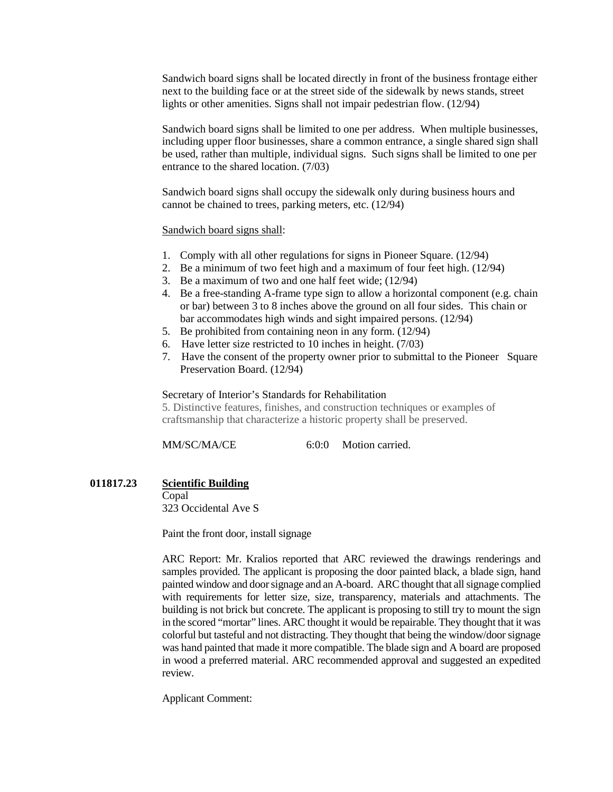Sandwich board signs shall be located directly in front of the business frontage either next to the building face or at the street side of the sidewalk by news stands, street lights or other amenities. Signs shall not impair pedestrian flow. (12/94)

Sandwich board signs shall be limited to one per address. When multiple businesses, including upper floor businesses, share a common entrance, a single shared sign shall be used, rather than multiple, individual signs. Such signs shall be limited to one per entrance to the shared location. (7/03)

Sandwich board signs shall occupy the sidewalk only during business hours and cannot be chained to trees, parking meters, etc. (12/94)

### Sandwich board signs shall:

- 1. Comply with all other regulations for signs in Pioneer Square. (12/94)
- 2. Be a minimum of two feet high and a maximum of four feet high. (12/94)
- 3. Be a maximum of two and one half feet wide; (12/94)
- 4. Be a free-standing A-frame type sign to allow a horizontal component (e.g. chain or bar) between 3 to 8 inches above the ground on all four sides. This chain or bar accommodates high winds and sight impaired persons. (12/94)
- 5. Be prohibited from containing neon in any form. (12/94)
- 6. Have letter size restricted to 10 inches in height. (7/03)
- 7. Have the consent of the property owner prior to submittal to the Pioneer Square Preservation Board. (12/94)

#### Secretary of Interior's Standards for Rehabilitation

5. Distinctive features, finishes, and construction techniques or examples of craftsmanship that characterize a historic property shall be preserved.

MM/SC/MA/CE 6:0:0 Motion carried.

### **011817.23 Scientific Building**

Copal 323 Occidental Ave S

Paint the front door, install signage

ARC Report: Mr. Kralios reported that ARC reviewed the drawings renderings and samples provided. The applicant is proposing the door painted black, a blade sign, hand painted window and door signage and an A-board. ARC thought that all signage complied with requirements for letter size, size, transparency, materials and attachments. The building is not brick but concrete. The applicant is proposing to still try to mount the sign in the scored "mortar" lines. ARC thought it would be repairable. They thought that it was colorful but tasteful and not distracting. They thought that being the window/door signage was hand painted that made it more compatible. The blade sign and A board are proposed in wood a preferred material. ARC recommended approval and suggested an expedited review.

Applicant Comment: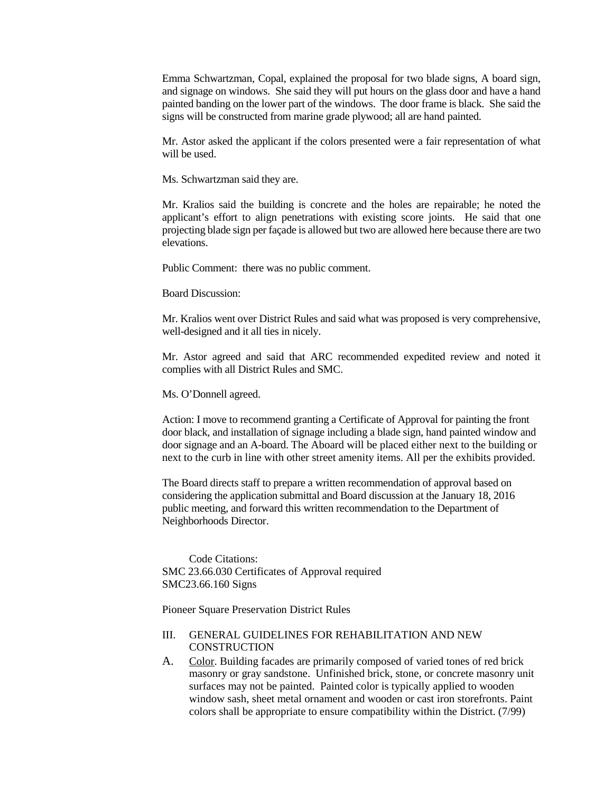Emma Schwartzman, Copal, explained the proposal for two blade signs, A board sign, and signage on windows. She said they will put hours on the glass door and have a hand painted banding on the lower part of the windows. The door frame is black. She said the signs will be constructed from marine grade plywood; all are hand painted.

Mr. Astor asked the applicant if the colors presented were a fair representation of what will be used.

Ms. Schwartzman said they are.

Mr. Kralios said the building is concrete and the holes are repairable; he noted the applicant's effort to align penetrations with existing score joints. He said that one projecting blade sign per façade is allowed but two are allowed here because there are two elevations.

Public Comment: there was no public comment.

Board Discussion:

Mr. Kralios went over District Rules and said what was proposed is very comprehensive, well-designed and it all ties in nicely.

Mr. Astor agreed and said that ARC recommended expedited review and noted it complies with all District Rules and SMC.

Ms. O'Donnell agreed.

Action: I move to recommend granting a Certificate of Approval for painting the front door black, and installation of signage including a blade sign, hand painted window and door signage and an A-board. The Aboard will be placed either next to the building or next to the curb in line with other street amenity items. All per the exhibits provided.

The Board directs staff to prepare a written recommendation of approval based on considering the application submittal and Board discussion at the January 18, 2016 public meeting, and forward this written recommendation to the Department of Neighborhoods Director.

Code Citations: SMC 23.66.030 Certificates of Approval required SMC23.66.160 Signs

Pioneer Square Preservation District Rules

# III. GENERAL GUIDELINES FOR REHABILITATION AND NEW **CONSTRUCTION**

A. Color. Building facades are primarily composed of varied tones of red brick masonry or gray sandstone. Unfinished brick, stone, or concrete masonry unit surfaces may not be painted. Painted color is typically applied to wooden window sash, sheet metal ornament and wooden or cast iron storefronts. Paint colors shall be appropriate to ensure compatibility within the District. (7/99)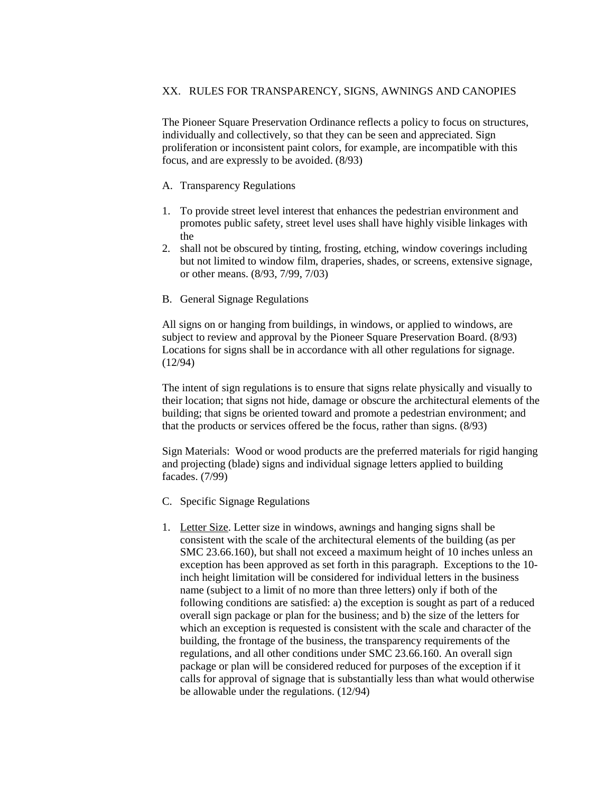# XX. RULES FOR TRANSPARENCY, SIGNS, AWNINGS AND CANOPIES

The Pioneer Square Preservation Ordinance reflects a policy to focus on structures, individually and collectively, so that they can be seen and appreciated. Sign proliferation or inconsistent paint colors, for example, are incompatible with this focus, and are expressly to be avoided. (8/93)

- A. Transparency Regulations
- 1. To provide street level interest that enhances the pedestrian environment and promotes public safety, street level uses shall have highly visible linkages with the
- 2. shall not be obscured by tinting, frosting, etching, window coverings including but not limited to window film, draperies, shades, or screens, extensive signage, or other means. (8/93, 7/99, 7/03)
- B. General Signage Regulations

All signs on or hanging from buildings, in windows, or applied to windows, are subject to review and approval by the Pioneer Square Preservation Board. (8/93) Locations for signs shall be in accordance with all other regulations for signage. (12/94)

The intent of sign regulations is to ensure that signs relate physically and visually to their location; that signs not hide, damage or obscure the architectural elements of the building; that signs be oriented toward and promote a pedestrian environment; and that the products or services offered be the focus, rather than signs. (8/93)

Sign Materials: Wood or wood products are the preferred materials for rigid hanging and projecting (blade) signs and individual signage letters applied to building facades. (7/99)

- C. Specific Signage Regulations
- 1. Letter Size. Letter size in windows, awnings and hanging signs shall be consistent with the scale of the architectural elements of the building (as per SMC 23.66.160), but shall not exceed a maximum height of 10 inches unless an exception has been approved as set forth in this paragraph. Exceptions to the 10 inch height limitation will be considered for individual letters in the business name (subject to a limit of no more than three letters) only if both of the following conditions are satisfied: a) the exception is sought as part of a reduced overall sign package or plan for the business; and b) the size of the letters for which an exception is requested is consistent with the scale and character of the building, the frontage of the business, the transparency requirements of the regulations, and all other conditions under SMC 23.66.160. An overall sign package or plan will be considered reduced for purposes of the exception if it calls for approval of signage that is substantially less than what would otherwise be allowable under the regulations. (12/94)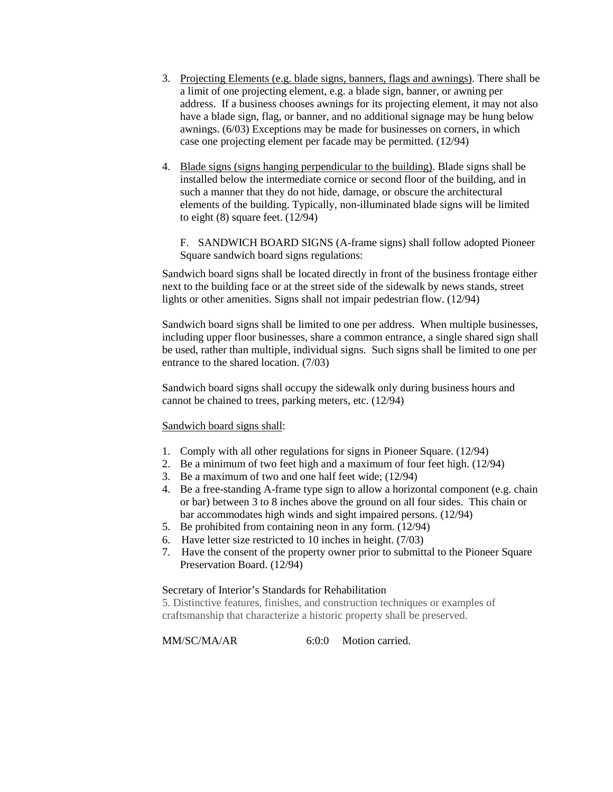- 3. Projecting Elements (e.g. blade signs, banners, flags and awnings). There shall be a limit of one projecting element, e.g. a blade sign, banner, or awning per address. If a business chooses awnings for its projecting element, it may not also have a blade sign, flag, or banner, and no additional signage may be hung below awnings. (6/03) Exceptions may be made for businesses on corners, in which case one projecting element per facade may be permitted. (12/94)
- 4. Blade signs (signs hanging perpendicular to the building). Blade signs shall be installed below the intermediate cornice or second floor of the building, and in such a manner that they do not hide, damage, or obscure the architectural elements of the building. Typically, non-illuminated blade signs will be limited to eight (8) square feet. (12/94)

F. SANDWICH BOARD SIGNS (A-frame signs) shall follow adopted Pioneer Square sandwich board signs regulations:

Sandwich board signs shall be located directly in front of the business frontage either next to the building face or at the street side of the sidewalk by news stands, street lights or other amenities. Signs shall not impair pedestrian flow. (12/94)

Sandwich board signs shall be limited to one per address. When multiple businesses, including upper floor businesses, share a common entrance, a single shared sign shall be used, rather than multiple, individual signs. Such signs shall be limited to one per entrance to the shared location. (7/03)

Sandwich board signs shall occupy the sidewalk only during business hours and cannot be chained to trees, parking meters, etc. (12/94)

#### Sandwich board signs shall:

- 1. Comply with all other regulations for signs in Pioneer Square. (12/94)
- 2. Be a minimum of two feet high and a maximum of four feet high. (12/94)
- 3. Be a maximum of two and one half feet wide; (12/94)
- 4. Be a free-standing A-frame type sign to allow a horizontal component (e.g. chain or bar) between 3 to 8 inches above the ground on all four sides. This chain or bar accommodates high winds and sight impaired persons. (12/94)
- 5. Be prohibited from containing neon in any form. (12/94)
- 6. Have letter size restricted to 10 inches in height. (7/03)
- 7. Have the consent of the property owner prior to submittal to the Pioneer Square Preservation Board. (12/94)

#### Secretary of Interior's Standards for Rehabilitation

5. Distinctive features, finishes, and construction techniques or examples of craftsmanship that characterize a historic property shall be preserved.

MM/SC/MA/AR 6:0:0 Motion carried.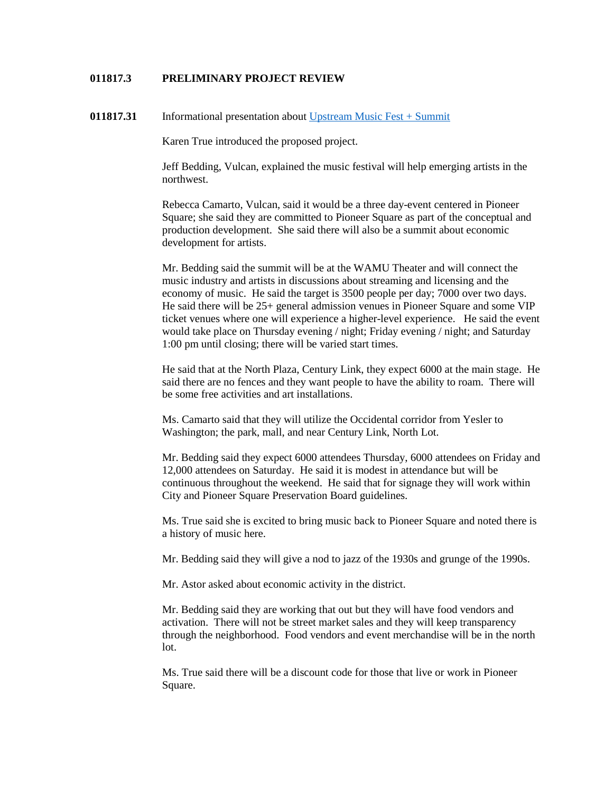## **011817.3 PRELIMINARY PROJECT REVIEW**

**011817.31** Informational presentation about [Upstream Music Fest + Summit](http://upstreammusicfest.com/)

Karen True introduced the proposed project.

Jeff Bedding, Vulcan, explained the music festival will help emerging artists in the northwest.

Rebecca Camarto, Vulcan, said it would be a three day-event centered in Pioneer Square; she said they are committed to Pioneer Square as part of the conceptual and production development. She said there will also be a summit about economic development for artists.

Mr. Bedding said the summit will be at the WAMU Theater and will connect the music industry and artists in discussions about streaming and licensing and the economy of music. He said the target is 3500 people per day; 7000 over two days. He said there will be 25+ general admission venues in Pioneer Square and some VIP ticket venues where one will experience a higher-level experience. He said the event would take place on Thursday evening / night; Friday evening / night; and Saturday 1:00 pm until closing; there will be varied start times.

He said that at the North Plaza, Century Link, they expect 6000 at the main stage. He said there are no fences and they want people to have the ability to roam. There will be some free activities and art installations.

Ms. Camarto said that they will utilize the Occidental corridor from Yesler to Washington; the park, mall, and near Century Link, North Lot.

Mr. Bedding said they expect 6000 attendees Thursday, 6000 attendees on Friday and 12,000 attendees on Saturday. He said it is modest in attendance but will be continuous throughout the weekend. He said that for signage they will work within City and Pioneer Square Preservation Board guidelines.

Ms. True said she is excited to bring music back to Pioneer Square and noted there is a history of music here.

Mr. Bedding said they will give a nod to jazz of the 1930s and grunge of the 1990s.

Mr. Astor asked about economic activity in the district.

Mr. Bedding said they are working that out but they will have food vendors and activation. There will not be street market sales and they will keep transparency through the neighborhood. Food vendors and event merchandise will be in the north lot.

Ms. True said there will be a discount code for those that live or work in Pioneer Square.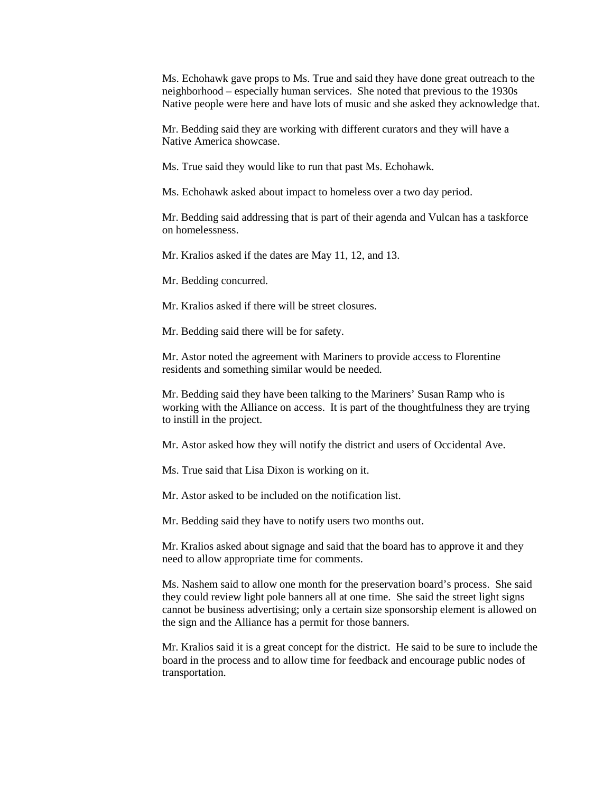Ms. Echohawk gave props to Ms. True and said they have done great outreach to the neighborhood – especially human services. She noted that previous to the 1930s Native people were here and have lots of music and she asked they acknowledge that.

Mr. Bedding said they are working with different curators and they will have a Native America showcase.

Ms. True said they would like to run that past Ms. Echohawk.

Ms. Echohawk asked about impact to homeless over a two day period.

Mr. Bedding said addressing that is part of their agenda and Vulcan has a taskforce on homelessness.

Mr. Kralios asked if the dates are May 11, 12, and 13.

Mr. Bedding concurred.

Mr. Kralios asked if there will be street closures.

Mr. Bedding said there will be for safety.

Mr. Astor noted the agreement with Mariners to provide access to Florentine residents and something similar would be needed.

Mr. Bedding said they have been talking to the Mariners' Susan Ramp who is working with the Alliance on access. It is part of the thoughtfulness they are trying to instill in the project.

Mr. Astor asked how they will notify the district and users of Occidental Ave.

Ms. True said that Lisa Dixon is working on it.

Mr. Astor asked to be included on the notification list.

Mr. Bedding said they have to notify users two months out.

Mr. Kralios asked about signage and said that the board has to approve it and they need to allow appropriate time for comments.

Ms. Nashem said to allow one month for the preservation board's process. She said they could review light pole banners all at one time. She said the street light signs cannot be business advertising; only a certain size sponsorship element is allowed on the sign and the Alliance has a permit for those banners.

Mr. Kralios said it is a great concept for the district. He said to be sure to include the board in the process and to allow time for feedback and encourage public nodes of transportation.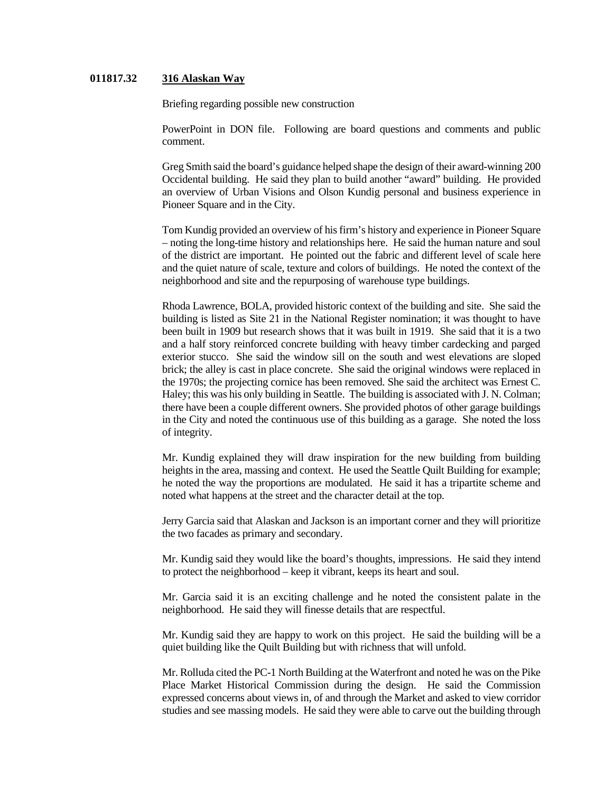# **011817.32 316 Alaskan Way**

Briefing regarding possible new construction

PowerPoint in DON file. Following are board questions and comments and public comment.

Greg Smith said the board's guidance helped shape the design of their award-winning 200 Occidental building. He said they plan to build another "award" building. He provided an overview of Urban Visions and Olson Kundig personal and business experience in Pioneer Square and in the City.

Tom Kundig provided an overview of his firm's history and experience in Pioneer Square – noting the long-time history and relationships here. He said the human nature and soul of the district are important. He pointed out the fabric and different level of scale here and the quiet nature of scale, texture and colors of buildings. He noted the context of the neighborhood and site and the repurposing of warehouse type buildings.

Rhoda Lawrence, BOLA, provided historic context of the building and site. She said the building is listed as Site 21 in the National Register nomination; it was thought to have been built in 1909 but research shows that it was built in 1919. She said that it is a two and a half story reinforced concrete building with heavy timber cardecking and parged exterior stucco. She said the window sill on the south and west elevations are sloped brick; the alley is cast in place concrete. She said the original windows were replaced in the 1970s; the projecting cornice has been removed. She said the architect was Ernest C. Haley; this was his only building in Seattle. The building is associated with J. N. Colman; there have been a couple different owners. She provided photos of other garage buildings in the City and noted the continuous use of this building as a garage. She noted the loss of integrity.

Mr. Kundig explained they will draw inspiration for the new building from building heights in the area, massing and context. He used the Seattle Quilt Building for example; he noted the way the proportions are modulated. He said it has a tripartite scheme and noted what happens at the street and the character detail at the top.

Jerry Garcia said that Alaskan and Jackson is an important corner and they will prioritize the two facades as primary and secondary.

Mr. Kundig said they would like the board's thoughts, impressions. He said they intend to protect the neighborhood – keep it vibrant, keeps its heart and soul.

Mr. Garcia said it is an exciting challenge and he noted the consistent palate in the neighborhood. He said they will finesse details that are respectful.

Mr. Kundig said they are happy to work on this project. He said the building will be a quiet building like the Quilt Building but with richness that will unfold.

Mr. Rolluda cited the PC-1 North Building at the Waterfront and noted he was on the Pike Place Market Historical Commission during the design. He said the Commission expressed concerns about views in, of and through the Market and asked to view corridor studies and see massing models. He said they were able to carve out the building through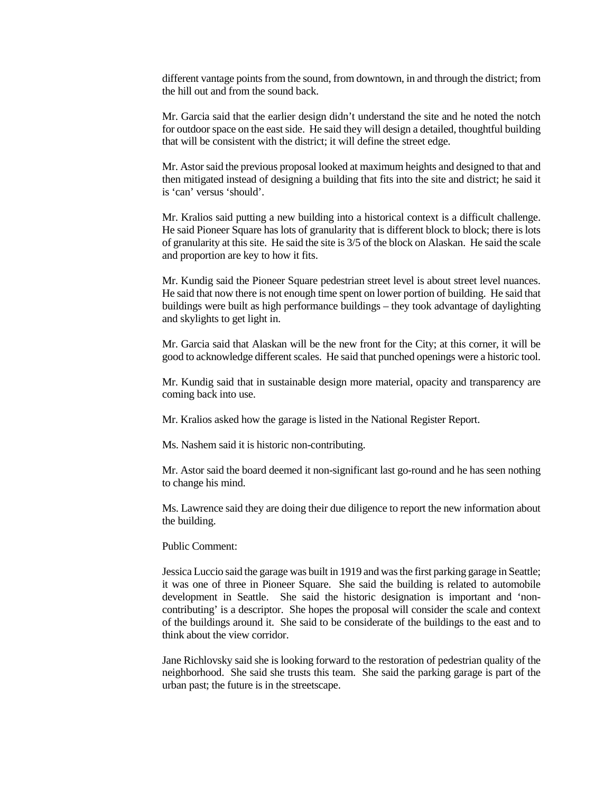different vantage points from the sound, from downtown, in and through the district; from the hill out and from the sound back.

Mr. Garcia said that the earlier design didn't understand the site and he noted the notch for outdoor space on the east side. He said they will design a detailed, thoughtful building that will be consistent with the district; it will define the street edge.

Mr. Astor said the previous proposal looked at maximum heights and designed to that and then mitigated instead of designing a building that fits into the site and district; he said it is 'can' versus 'should'.

Mr. Kralios said putting a new building into a historical context is a difficult challenge. He said Pioneer Square has lots of granularity that is different block to block; there is lots of granularity at this site. He said the site is 3/5 of the block on Alaskan. He said the scale and proportion are key to how it fits.

Mr. Kundig said the Pioneer Square pedestrian street level is about street level nuances. He said that now there is not enough time spent on lower portion of building. He said that buildings were built as high performance buildings – they took advantage of daylighting and skylights to get light in.

Mr. Garcia said that Alaskan will be the new front for the City; at this corner, it will be good to acknowledge different scales. He said that punched openings were a historic tool.

Mr. Kundig said that in sustainable design more material, opacity and transparency are coming back into use.

Mr. Kralios asked how the garage is listed in the National Register Report.

Ms. Nashem said it is historic non-contributing.

Mr. Astor said the board deemed it non-significant last go-round and he has seen nothing to change his mind.

Ms. Lawrence said they are doing their due diligence to report the new information about the building.

#### Public Comment:

Jessica Luccio said the garage was built in 1919 and was the first parking garage in Seattle; it was one of three in Pioneer Square. She said the building is related to automobile development in Seattle. She said the historic designation is important and 'noncontributing' is a descriptor. She hopes the proposal will consider the scale and context of the buildings around it. She said to be considerate of the buildings to the east and to think about the view corridor.

Jane Richlovsky said she is looking forward to the restoration of pedestrian quality of the neighborhood. She said she trusts this team. She said the parking garage is part of the urban past; the future is in the streetscape.